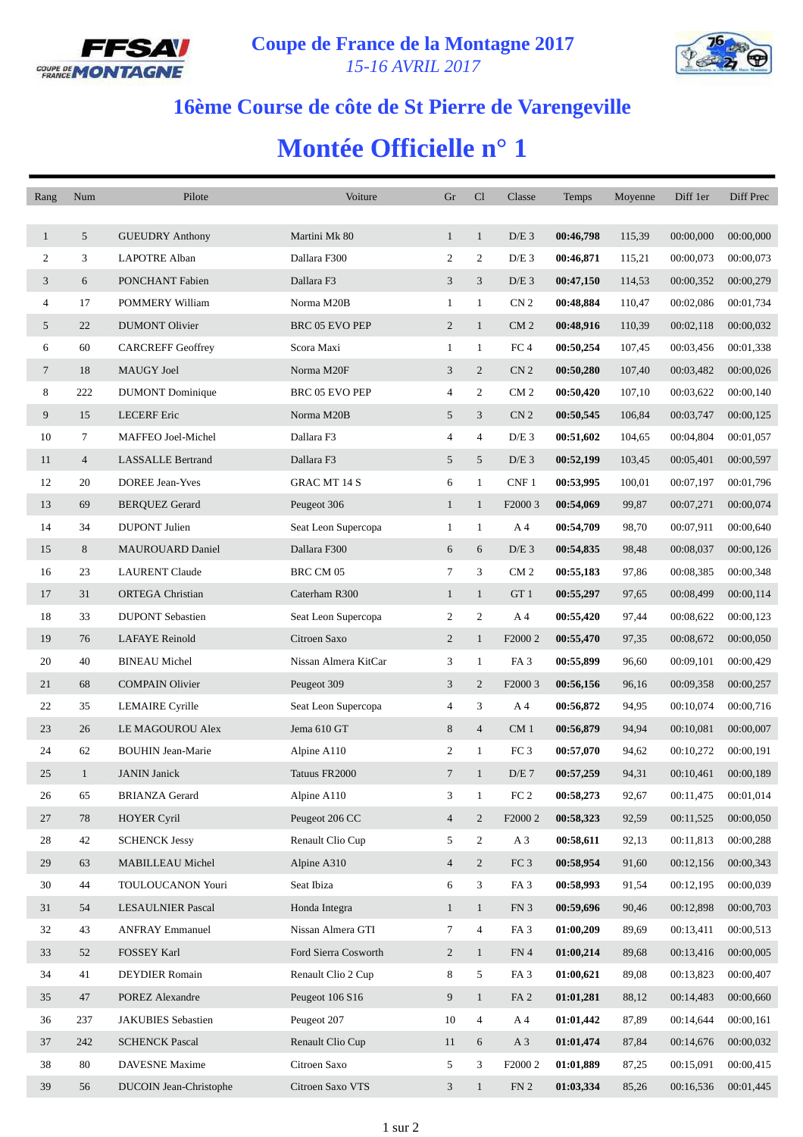



## **16ème Course de côte de St Pierre de Varengeville**

## **Montée Officielle n° 1**

| Rang           | Num            | Pilote                    | Voiture               | Gr             | Cl             | Classe              | Temps     | Moyenne | Diff 1er  | Diff Prec |
|----------------|----------------|---------------------------|-----------------------|----------------|----------------|---------------------|-----------|---------|-----------|-----------|
|                |                |                           |                       |                |                |                     |           |         |           |           |
| $\mathbf{1}$   | 5              | <b>GUEUDRY Anthony</b>    | Martini Mk 80         | $\mathbf{1}$   | $\mathbf{1}$   | $D/E$ 3             | 00:46,798 | 115,39  | 00:00,000 | 00:00,000 |
| $\overline{c}$ | 3              | <b>LAPOTRE Alban</b>      | Dallara F300          | 2              | 2              | $D/E$ 3             | 00:46,871 | 115,21  | 00:00,073 | 00:00,073 |
| 3              | 6              | PONCHANT Fabien           | Dallara F3            | 3              | 3              | $D/E$ 3             | 00:47,150 | 114,53  | 00:00,352 | 00:00,279 |
| $\overline{4}$ | 17             | POMMERY William           | Norma M20B            | $\mathbf{1}$   | $\mathbf{1}$   | CN <sub>2</sub>     | 00:48,884 | 110,47  | 00:02,086 | 00:01,734 |
| 5              | 22             | <b>DUMONT Olivier</b>     | <b>BRC 05 EVO PEP</b> | $\overline{c}$ | $\mathbf{1}$   | CM <sub>2</sub>     | 00:48,916 | 110,39  | 00:02,118 | 00:00,032 |
| 6              | 60             | <b>CARCREFF Geoffrey</b>  | Scora Maxi            | 1              | $\mathbf{1}$   | FC <sub>4</sub>     | 00:50,254 | 107,45  | 00:03,456 | 00:01,338 |
| $\tau$         | 18             | MAUGY Joel                | Norma M20F            | 3              | 2              | CN <sub>2</sub>     | 00:50,280 | 107,40  | 00:03,482 | 00:00,026 |
| 8              | 222            | <b>DUMONT</b> Dominique   | BRC 05 EVO PEP        | 4              | 2              | CM <sub>2</sub>     | 00:50,420 | 107,10  | 00:03,622 | 00:00,140 |
| 9              | 15             | <b>LECERF</b> Eric        | Norma M20B            | 5              | 3              | CN <sub>2</sub>     | 00:50,545 | 106,84  | 00:03,747 | 00:00,125 |
| 10             | 7              | MAFFEO Joel-Michel        | Dallara F3            | 4              | 4              | $D/E$ 3             | 00:51,602 | 104,65  | 00:04,804 | 00:01,057 |
| 11             | $\overline{4}$ | <b>LASSALLE Bertrand</b>  | Dallara F3            | 5              | 5              | $D/E$ 3             | 00:52,199 | 103,45  | 00:05,401 | 00:00,597 |
| 12             | 20             | <b>DOREE Jean-Yves</b>    | <b>GRAC MT 14 S</b>   | 6              | $\mathbf{1}$   | CNF 1               | 00:53,995 | 100,01  | 00:07,197 | 00:01,796 |
| 13             | 69             | <b>BERQUEZ Gerard</b>     | Peugeot 306           | $\mathbf{1}$   | $\mathbf{1}$   | F <sub>2000</sub> 3 | 00:54,069 | 99,87   | 00:07,271 | 00:00,074 |
| 14             | 34             | <b>DUPONT</b> Julien      | Seat Leon Supercopa   | $\mathbf{1}$   | $\mathbf{1}$   | A 4                 | 00:54,709 | 98,70   | 00:07,911 | 00:00,640 |
| 15             | 8              | <b>MAUROUARD Daniel</b>   | Dallara F300          | 6              | 6              | $D/E$ 3             | 00:54,835 | 98,48   | 00:08,037 | 00:00,126 |
| 16             | 23             | <b>LAURENT Claude</b>     | BRC CM 05             | $\tau$         | 3              | CM <sub>2</sub>     | 00:55,183 | 97,86   | 00:08,385 | 00:00,348 |
| 17             | 31             | <b>ORTEGA</b> Christian   | Caterham R300         | $\mathbf{1}$   | $\mathbf{1}$   | GT 1                | 00:55,297 | 97,65   | 00:08,499 | 00:00,114 |
| 18             | 33             | <b>DUPONT Sebastien</b>   | Seat Leon Supercopa   | 2              | 2              | A 4                 | 00:55,420 | 97,44   | 00:08,622 | 00:00,123 |
| 19             | 76             | <b>LAFAYE</b> Reinold     | Citroen Saxo          | $\overline{c}$ | $\mathbf{1}$   | F <sub>2000</sub> 2 | 00:55,470 | 97,35   | 00:08,672 | 00:00,050 |
| 20             | 40             | <b>BINEAU</b> Michel      | Nissan Almera KitCar  | 3              | $\mathbf{1}$   | FA <sub>3</sub>     | 00:55,899 | 96,60   | 00:09,101 | 00:00,429 |
| 21             | 68             | <b>COMPAIN Olivier</b>    | Peugeot 309           | 3              | 2              | F2000 3             | 00:56,156 | 96,16   | 00:09,358 | 00:00,257 |
| 22             | 35             | <b>LEMAIRE</b> Cyrille    | Seat Leon Supercopa   | 4              | 3              | A 4                 | 00:56,872 | 94,95   | 00:10,074 | 00:00,716 |
| 23             | 26             | LE MAGOUROU Alex          | Jema 610 GT           | 8              | $\overline{4}$ | CM <sub>1</sub>     | 00:56,879 | 94,94   | 00:10,081 | 00:00,007 |
| 24             | 62             | <b>BOUHIN Jean-Marie</b>  | Alpine A110           | $\overline{c}$ | $\mathbf{1}$   | FC <sub>3</sub>     | 00:57,070 | 94,62   | 00:10,272 | 00:00,191 |
| 25             | 1              | <b>JANIN</b> Janick       | Tatuus FR2000         | $\tau$         | $\mathbf{1}$   | D/E 7               | 00:57,259 | 94,31   | 00:10,461 | 00:00,189 |
| $26\,$         | 65             | <b>BRIANZA Gerard</b>     | Alpine A110           | 3              | 1              | $\rm{FC}$ 2         | 00:58,273 | 92,67   | 00:11,475 | 00:01,014 |
| 27             | 78             | <b>HOYER Cyril</b>        | Peugeot 206 CC        | $\overline{4}$ | $\overline{2}$ | F2000 2             | 00:58,323 | 92,59   | 00:11,525 | 00:00,050 |
| $28\,$         | 42             | <b>SCHENCK Jessy</b>      | Renault Clio Cup      | 5              | $\overline{c}$ | A 3                 | 00:58,611 | 92,13   | 00:11,813 | 00:00,288 |
| 29             | 63             | MABILLEAU Michel          | Alpine A310           | $\overline{4}$ | $\overline{2}$ | FC <sub>3</sub>     | 00:58,954 | 91,60   | 00:12,156 | 00:00,343 |
| 30             | 44             | TOULOUCANON Youri         | Seat Ibiza            | 6              | 3              | FA <sub>3</sub>     | 00:58,993 | 91,54   | 00:12,195 | 00:00,039 |
| 31             | 54             | <b>LESAULNIER Pascal</b>  | Honda Integra         | $\mathbf{1}$   | $\mathbf{1}$   | FN 3                | 00:59,696 | 90,46   | 00:12,898 | 00:00,703 |
| 32             | 43             | <b>ANFRAY Emmanuel</b>    | Nissan Almera GTI     | 7              | 4              | FA <sub>3</sub>     | 01:00,209 | 89,69   | 00:13,411 | 00:00,513 |
| 33             | 52             | FOSSEY Karl               | Ford Sierra Cosworth  | $\overline{c}$ | $\mathbf{1}$   | FN 4                | 01:00,214 | 89,68   | 00:13,416 | 00:00,005 |
| 34             | 41             | <b>DEYDIER</b> Romain     | Renault Clio 2 Cup    | 8              | 5              | FA <sub>3</sub>     | 01:00,621 | 89,08   | 00:13,823 | 00:00,407 |
| 35             | 47             | <b>POREZ Alexandre</b>    | Peugeot 106 S16       | 9              | $\mathbf{1}$   | FA <sub>2</sub>     | 01:01,281 | 88,12   | 00:14,483 | 00:00,660 |
| 36             | 237            | <b>JAKUBIES</b> Sebastien | Peugeot 207           | 10             | 4              | A 4                 | 01:01,442 | 87,89   | 00:14,644 | 00:00,161 |
| 37             | 242            | <b>SCHENCK Pascal</b>     | Renault Clio Cup      | 11             | 6              | A <sub>3</sub>      | 01:01,474 | 87,84   | 00:14,676 | 00:00,032 |
| 38             | 80             | <b>DAVESNE</b> Maxime     | Citroen Saxo          | 5              | 3              | F <sub>2000</sub> 2 | 01:01,889 | 87,25   | 00:15,091 | 00:00,415 |
| 39             | 56             | DUCOIN Jean-Christophe    | Citroen Saxo VTS      | 3              | $\mathbf{1}$   | FN <sub>2</sub>     | 01:03,334 | 85,26   | 00:16,536 | 00:01,445 |